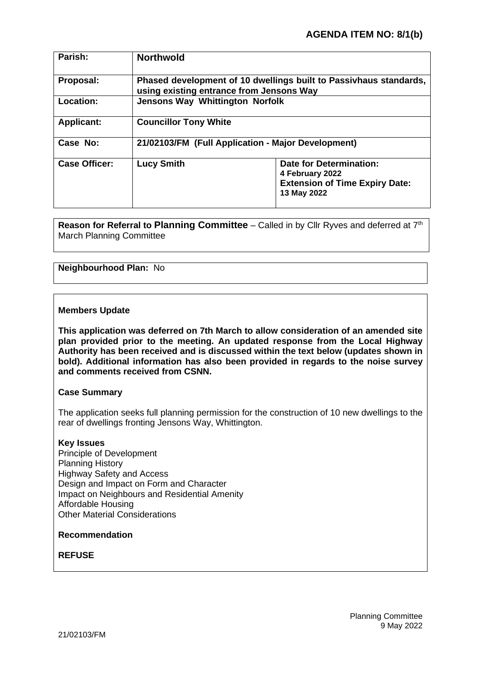| Parish:              | <b>Northwold</b>                                                                                              |                                                                                                           |
|----------------------|---------------------------------------------------------------------------------------------------------------|-----------------------------------------------------------------------------------------------------------|
| Proposal:            | Phased development of 10 dwellings built to Passivhaus standards,<br>using existing entrance from Jensons Way |                                                                                                           |
| Location:            | <b>Jensons Way Whittington Norfolk</b>                                                                        |                                                                                                           |
| <b>Applicant:</b>    | <b>Councillor Tony White</b>                                                                                  |                                                                                                           |
| Case No:             | 21/02103/FM (Full Application - Major Development)                                                            |                                                                                                           |
| <b>Case Officer:</b> | <b>Lucy Smith</b>                                                                                             | <b>Date for Determination:</b><br>4 February 2022<br><b>Extension of Time Expiry Date:</b><br>13 May 2022 |

**Reason for Referral to Planning Committee** – Called in by Cllr Ryves and deferred at 7<sup>th</sup> March Planning Committee

## **Neighbourhood Plan:** No

### **Members Update**

**This application was deferred on 7th March to allow consideration of an amended site plan provided prior to the meeting. An updated response from the Local Highway Authority has been received and is discussed within the text below (updates shown in bold). Additional information has also been provided in regards to the noise survey and comments received from CSNN.**

#### **Case Summary**

The application seeks full planning permission for the construction of 10 new dwellings to the rear of dwellings fronting Jensons Way, Whittington.

### **Key Issues**

Principle of Development Planning History Highway Safety and Access Design and Impact on Form and Character Impact on Neighbours and Residential Amenity Affordable Housing Other Material Considerations

### **Recommendation**

### **REFUSE**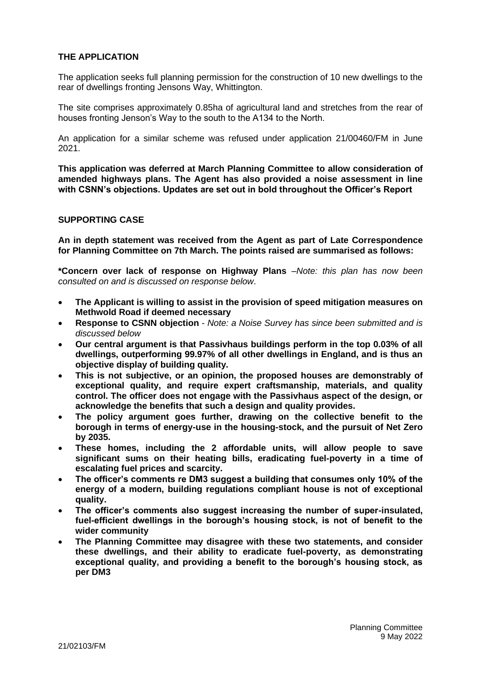# **THE APPLICATION**

The application seeks full planning permission for the construction of 10 new dwellings to the rear of dwellings fronting Jensons Way, Whittington.

The site comprises approximately 0.85ha of agricultural land and stretches from the rear of houses fronting Jenson's Way to the south to the A134 to the North.

An application for a similar scheme was refused under application 21/00460/FM in June 2021.

**This application was deferred at March Planning Committee to allow consideration of amended highways plans. The Agent has also provided a noise assessment in line with CSNN's objections. Updates are set out in bold throughout the Officer's Report**

### **SUPPORTING CASE**

**An in depth statement was received from the Agent as part of Late Correspondence for Planning Committee on 7th March. The points raised are summarised as follows:**

**\*Concern over lack of response on Highway Plans** –*Note: this plan has now been consulted on and is discussed on response below*.

- **The Applicant is willing to assist in the provision of speed mitigation measures on Methwold Road if deemed necessary**
- **Response to CSNN objection** *Note: a Noise Survey has since been submitted and is discussed below*
- **Our central argument is that Passivhaus buildings perform in the top 0.03% of all dwellings, outperforming 99.97% of all other dwellings in England, and is thus an objective display of building quality.**
- **This is not subjective, or an opinion, the proposed houses are demonstrably of exceptional quality, and require expert craftsmanship, materials, and quality control. The officer does not engage with the Passivhaus aspect of the design, or acknowledge the benefits that such a design and quality provides.**
- **The policy argument goes further, drawing on the collective benefit to the borough in terms of energy-use in the housing-stock, and the pursuit of Net Zero by 2035.**
- **These homes, including the 2 affordable units, will allow people to save significant sums on their heating bills, eradicating fuel-poverty in a time of escalating fuel prices and scarcity.**
- **The officer's comments re DM3 suggest a building that consumes only 10% of the energy of a modern, building regulations compliant house is not of exceptional quality.**
- **The officer's comments also suggest increasing the number of super-insulated, fuel-efficient dwellings in the borough's housing stock, is not of benefit to the wider community**
- **The Planning Committee may disagree with these two statements, and consider these dwellings, and their ability to eradicate fuel-poverty, as demonstrating exceptional quality, and providing a benefit to the borough's housing stock, as per DM3**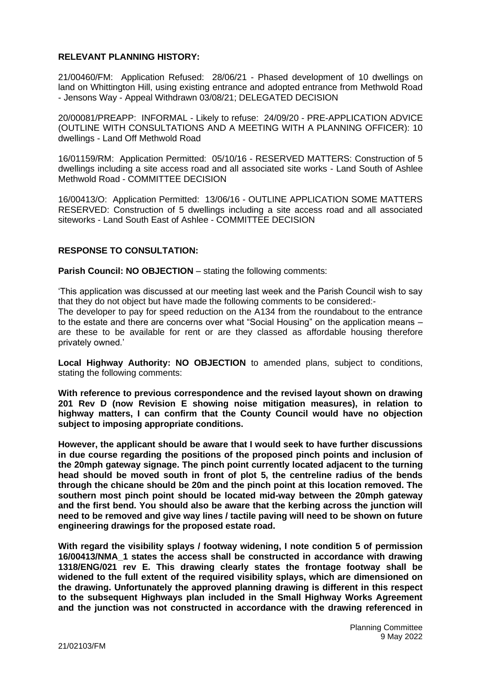# **RELEVANT PLANNING HISTORY:**

21/00460/FM: Application Refused: 28/06/21 - Phased development of 10 dwellings on land on Whittington Hill, using existing entrance and adopted entrance from Methwold Road - Jensons Way - Appeal Withdrawn 03/08/21; DELEGATED DECISION

20/00081/PREAPP: INFORMAL - Likely to refuse: 24/09/20 - PRE-APPLICATION ADVICE (OUTLINE WITH CONSULTATIONS AND A MEETING WITH A PLANNING OFFICER): 10 dwellings - Land Off Methwold Road

16/01159/RM: Application Permitted: 05/10/16 - RESERVED MATTERS: Construction of 5 dwellings including a site access road and all associated site works - Land South of Ashlee Methwold Road - COMMITTEE DECISION

16/00413/O: Application Permitted: 13/06/16 - OUTLINE APPLICATION SOME MATTERS RESERVED: Construction of 5 dwellings including a site access road and all associated siteworks - Land South East of Ashlee - COMMITTEE DECISION

## **RESPONSE TO CONSULTATION:**

**Parish Council: NO OBJECTION** – stating the following comments:

'This application was discussed at our meeting last week and the Parish Council wish to say that they do not object but have made the following comments to be considered:-

The developer to pay for speed reduction on the A134 from the roundabout to the entrance to the estate and there are concerns over what "Social Housing" on the application means – are these to be available for rent or are they classed as affordable housing therefore privately owned.'

**Local Highway Authority: NO OBJECTION** to amended plans, subject to conditions, stating the following comments:

**With reference to previous correspondence and the revised layout shown on drawing 201 Rev D (now Revision E showing noise mitigation measures), in relation to highway matters, I can confirm that the County Council would have no objection subject to imposing appropriate conditions.**

**However, the applicant should be aware that I would seek to have further discussions in due course regarding the positions of the proposed pinch points and inclusion of the 20mph gateway signage. The pinch point currently located adjacent to the turning head should be moved south in front of plot 5, the centreline radius of the bends through the chicane should be 20m and the pinch point at this location removed. The southern most pinch point should be located mid-way between the 20mph gateway and the first bend. You should also be aware that the kerbing across the junction will need to be removed and give way lines / tactile paving will need to be shown on future engineering drawings for the proposed estate road.**

**With regard the visibility splays / footway widening, I note condition 5 of permission 16/00413/NMA\_1 states the access shall be constructed in accordance with drawing 1318/ENG/021 rev E. This drawing clearly states the frontage footway shall be widened to the full extent of the required visibility splays, which are dimensioned on the drawing. Unfortunately the approved planning drawing is different in this respect to the subsequent Highways plan included in the Small Highway Works Agreement and the junction was not constructed in accordance with the drawing referenced in**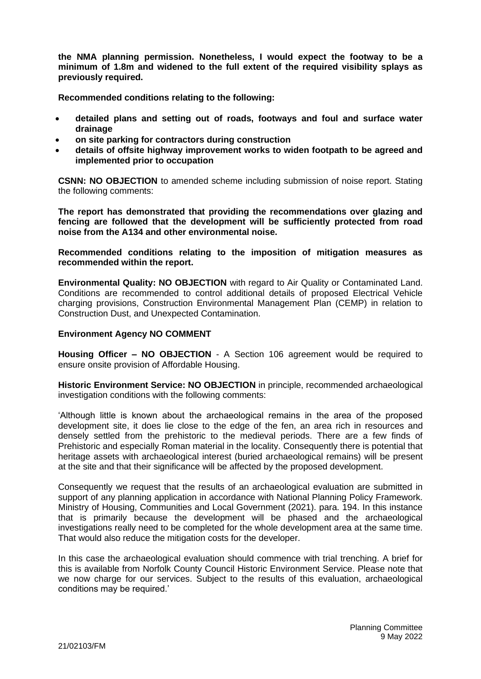**the NMA planning permission. Nonetheless, I would expect the footway to be a minimum of 1.8m and widened to the full extent of the required visibility splays as previously required.**

**Recommended conditions relating to the following:**

- **detailed plans and setting out of roads, footways and foul and surface water drainage**
- **on site parking for contractors during construction**
- **details of offsite highway improvement works to widen footpath to be agreed and implemented prior to occupation**

**CSNN: NO OBJECTION** to amended scheme including submission of noise report. Stating the following comments:

**The report has demonstrated that providing the recommendations over glazing and fencing are followed that the development will be sufficiently protected from road noise from the A134 and other environmental noise.**

**Recommended conditions relating to the imposition of mitigation measures as recommended within the report.**

**Environmental Quality: NO OBJECTION** with regard to Air Quality or Contaminated Land. Conditions are recommended to control additional details of proposed Electrical Vehicle charging provisions, Construction Environmental Management Plan (CEMP) in relation to Construction Dust, and Unexpected Contamination.

#### **Environment Agency NO COMMENT**

**Housing Officer – NO OBJECTION** - A Section 106 agreement would be required to ensure onsite provision of Affordable Housing.

**Historic Environment Service: NO OBJECTION** in principle, recommended archaeological investigation conditions with the following comments:

'Although little is known about the archaeological remains in the area of the proposed development site, it does lie close to the edge of the fen, an area rich in resources and densely settled from the prehistoric to the medieval periods. There are a few finds of Prehistoric and especially Roman material in the locality. Consequently there is potential that heritage assets with archaeological interest (buried archaeological remains) will be present at the site and that their significance will be affected by the proposed development.

Consequently we request that the results of an archaeological evaluation are submitted in support of any planning application in accordance with National Planning Policy Framework. Ministry of Housing, Communities and Local Government (2021). para. 194. In this instance that is primarily because the development will be phased and the archaeological investigations really need to be completed for the whole development area at the same time. That would also reduce the mitigation costs for the developer.

In this case the archaeological evaluation should commence with trial trenching. A brief for this is available from Norfolk County Council Historic Environment Service. Please note that we now charge for our services. Subject to the results of this evaluation, archaeological conditions may be required.'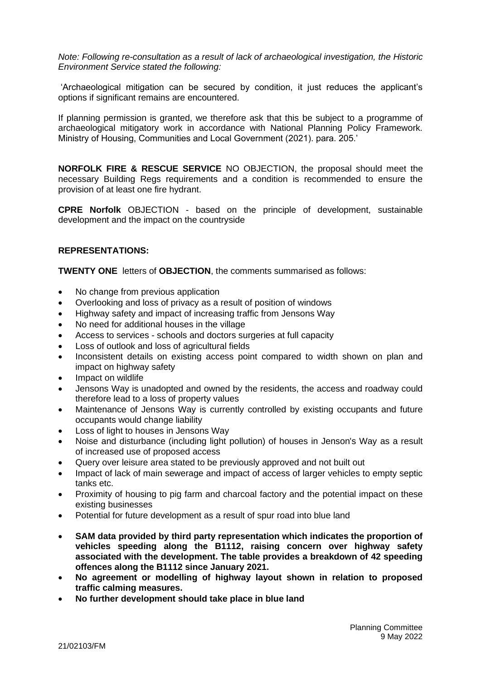*Note: Following re-consultation as a result of lack of archaeological investigation, the Historic Environment Service stated the following:*

'Archaeological mitigation can be secured by condition, it just reduces the applicant's options if significant remains are encountered.

If planning permission is granted, we therefore ask that this be subject to a programme of archaeological mitigatory work in accordance with National Planning Policy Framework. Ministry of Housing, Communities and Local Government (2021). para. 205.'

**NORFOLK FIRE & RESCUE SERVICE** NO OBJECTION, the proposal should meet the necessary Building Regs requirements and a condition is recommended to ensure the provision of at least one fire hydrant.

**CPRE Norfolk** OBJECTION - based on the principle of development, sustainable development and the impact on the countryside

# **REPRESENTATIONS:**

**TWENTY ONE** letters of **OBJECTION**, the comments summarised as follows:

- No change from previous application
- Overlooking and loss of privacy as a result of position of windows
- Highway safety and impact of increasing traffic from Jensons Way
- No need for additional houses in the village
- Access to services schools and doctors surgeries at full capacity
- Loss of outlook and loss of agricultural fields
- Inconsistent details on existing access point compared to width shown on plan and impact on highway safety
- Impact on wildlife
- Jensons Way is unadopted and owned by the residents, the access and roadway could therefore lead to a loss of property values
- Maintenance of Jensons Way is currently controlled by existing occupants and future occupants would change liability
- Loss of light to houses in Jensons Way
- Noise and disturbance (including light pollution) of houses in Jenson's Way as a result of increased use of proposed access
- Query over leisure area stated to be previously approved and not built out
- Impact of lack of main sewerage and impact of access of larger vehicles to empty septic tanks etc.
- Proximity of housing to pig farm and charcoal factory and the potential impact on these existing businesses
- Potential for future development as a result of spur road into blue land
- **SAM data provided by third party representation which indicates the proportion of vehicles speeding along the B1112, raising concern over highway safety associated with the development. The table provides a breakdown of 42 speeding offences along the B1112 since January 2021.**
- **No agreement or modelling of highway layout shown in relation to proposed traffic calming measures.**
- **No further development should take place in blue land**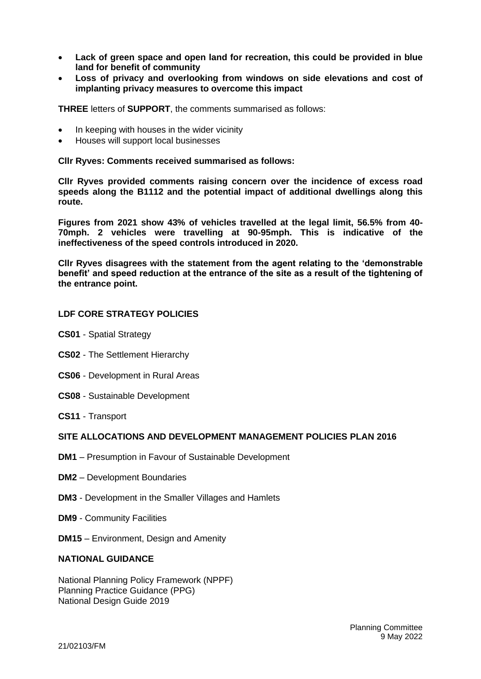- **Lack of green space and open land for recreation, this could be provided in blue land for benefit of community**
- **Loss of privacy and overlooking from windows on side elevations and cost of implanting privacy measures to overcome this impact**

**THREE** letters of **SUPPORT**, the comments summarised as follows:

- In keeping with houses in the wider vicinity
- Houses will support local businesses

**Cllr Ryves: Comments received summarised as follows:**

**Cllr Ryves provided comments raising concern over the incidence of excess road speeds along the B1112 and the potential impact of additional dwellings along this route.** 

**Figures from 2021 show 43% of vehicles travelled at the legal limit, 56.5% from 40- 70mph. 2 vehicles were travelling at 90-95mph. This is indicative of the ineffectiveness of the speed controls introduced in 2020.**

**Cllr Ryves disagrees with the statement from the agent relating to the 'demonstrable benefit' and speed reduction at the entrance of the site as a result of the tightening of the entrance point.**

### **LDF CORE STRATEGY POLICIES**

- **CS01** Spatial Strategy
- **CS02** The Settlement Hierarchy
- **CS06**  Development in Rural Areas
- **CS08** Sustainable Development
- **CS11** Transport

### **SITE ALLOCATIONS AND DEVELOPMENT MANAGEMENT POLICIES PLAN 2016**

- **DM1** Presumption in Favour of Sustainable Development
- **DM2**  Development Boundaries
- **DM3**  Development in the Smaller Villages and Hamlets
- **DM9** Community Facilities
- **DM15** Environment, Design and Amenity

#### **NATIONAL GUIDANCE**

National Planning Policy Framework (NPPF) Planning Practice Guidance (PPG) National Design Guide 2019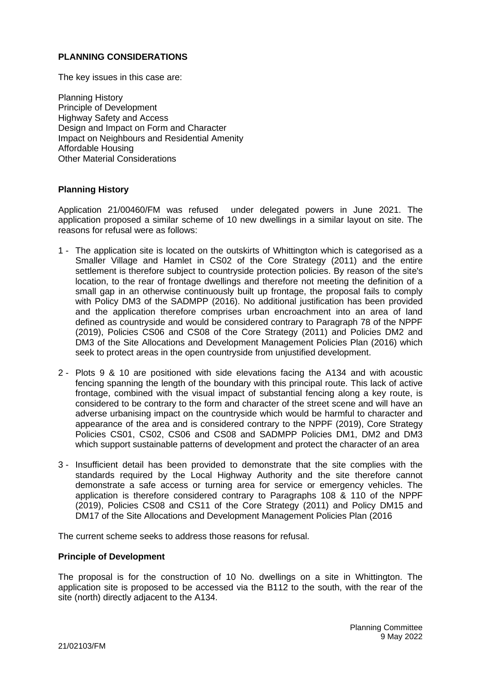# **PLANNING CONSIDERATIONS**

The key issues in this case are:

Planning History Principle of Development Highway Safety and Access Design and Impact on Form and Character Impact on Neighbours and Residential Amenity Affordable Housing Other Material Considerations

## **Planning History**

Application 21/00460/FM was refused under delegated powers in June 2021. The application proposed a similar scheme of 10 new dwellings in a similar layout on site. The reasons for refusal were as follows:

- 1 The application site is located on the outskirts of Whittington which is categorised as a Smaller Village and Hamlet in CS02 of the Core Strategy (2011) and the entire settlement is therefore subject to countryside protection policies. By reason of the site's location, to the rear of frontage dwellings and therefore not meeting the definition of a small gap in an otherwise continuously built up frontage, the proposal fails to comply with Policy DM3 of the SADMPP (2016). No additional justification has been provided and the application therefore comprises urban encroachment into an area of land defined as countryside and would be considered contrary to Paragraph 78 of the NPPF (2019), Policies CS06 and CS08 of the Core Strategy (2011) and Policies DM2 and DM3 of the Site Allocations and Development Management Policies Plan (2016) which seek to protect areas in the open countryside from unjustified development.
- 2 Plots 9 & 10 are positioned with side elevations facing the A134 and with acoustic fencing spanning the length of the boundary with this principal route. This lack of active frontage, combined with the visual impact of substantial fencing along a key route, is considered to be contrary to the form and character of the street scene and will have an adverse urbanising impact on the countryside which would be harmful to character and appearance of the area and is considered contrary to the NPPF (2019), Core Strategy Policies CS01, CS02, CS06 and CS08 and SADMPP Policies DM1, DM2 and DM3 which support sustainable patterns of development and protect the character of an area
- 3 Insufficient detail has been provided to demonstrate that the site complies with the standards required by the Local Highway Authority and the site therefore cannot demonstrate a safe access or turning area for service or emergency vehicles. The application is therefore considered contrary to Paragraphs 108 & 110 of the NPPF (2019), Policies CS08 and CS11 of the Core Strategy (2011) and Policy DM15 and DM17 of the Site Allocations and Development Management Policies Plan (2016

The current scheme seeks to address those reasons for refusal.

#### **Principle of Development**

The proposal is for the construction of 10 No. dwellings on a site in Whittington. The application site is proposed to be accessed via the B112 to the south, with the rear of the site (north) directly adjacent to the A134.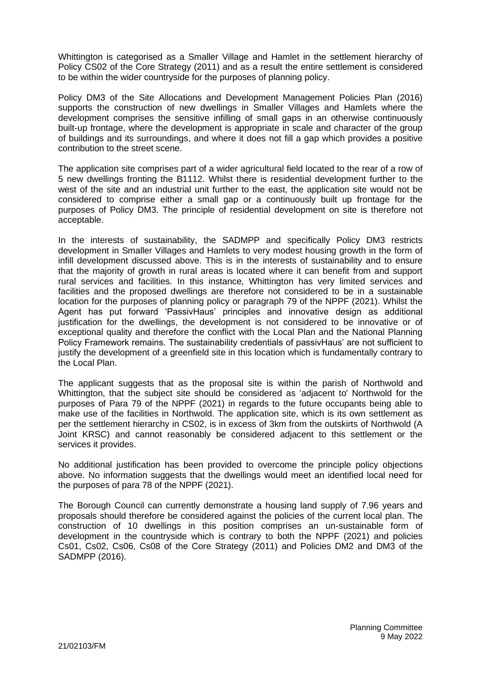Whittington is categorised as a Smaller Village and Hamlet in the settlement hierarchy of Policy CS02 of the Core Strategy (2011) and as a result the entire settlement is considered to be within the wider countryside for the purposes of planning policy.

Policy DM3 of the Site Allocations and Development Management Policies Plan (2016) supports the construction of new dwellings in Smaller Villages and Hamlets where the development comprises the sensitive infilling of small gaps in an otherwise continuously built-up frontage, where the development is appropriate in scale and character of the group of buildings and its surroundings, and where it does not fill a gap which provides a positive contribution to the street scene.

The application site comprises part of a wider agricultural field located to the rear of a row of 5 new dwellings fronting the B1112. Whilst there is residential development further to the west of the site and an industrial unit further to the east, the application site would not be considered to comprise either a small gap or a continuously built up frontage for the purposes of Policy DM3. The principle of residential development on site is therefore not acceptable.

In the interests of sustainability, the SADMPP and specifically Policy DM3 restricts development in Smaller Villages and Hamlets to very modest housing growth in the form of infill development discussed above. This is in the interests of sustainability and to ensure that the majority of growth in rural areas is located where it can benefit from and support rural services and facilities. In this instance, Whittington has very limited services and facilities and the proposed dwellings are therefore not considered to be in a sustainable location for the purposes of planning policy or paragraph 79 of the NPPF (2021). Whilst the Agent has put forward 'PassivHaus' principles and innovative design as additional justification for the dwellings, the development is not considered to be innovative or of exceptional quality and therefore the conflict with the Local Plan and the National Planning Policy Framework remains. The sustainability credentials of passivHaus' are not sufficient to justify the development of a greenfield site in this location which is fundamentally contrary to the Local Plan.

The applicant suggests that as the proposal site is within the parish of Northwold and Whittington, that the subject site should be considered as 'adjacent to' Northwold for the purposes of Para 79 of the NPPF (2021) in regards to the future occupants being able to make use of the facilities in Northwold. The application site, which is its own settlement as per the settlement hierarchy in CS02, is in excess of 3km from the outskirts of Northwold (A Joint KRSC) and cannot reasonably be considered adjacent to this settlement or the services it provides.

No additional justification has been provided to overcome the principle policy objections above. No information suggests that the dwellings would meet an identified local need for the purposes of para 78 of the NPPF (2021).

The Borough Council can currently demonstrate a housing land supply of 7.96 years and proposals should therefore be considered against the policies of the current local plan. The construction of 10 dwellings in this position comprises an un-sustainable form of development in the countryside which is contrary to both the NPPF (2021) and policies Cs01, Cs02, Cs06, Cs08 of the Core Strategy (2011) and Policies DM2 and DM3 of the SADMPP (2016).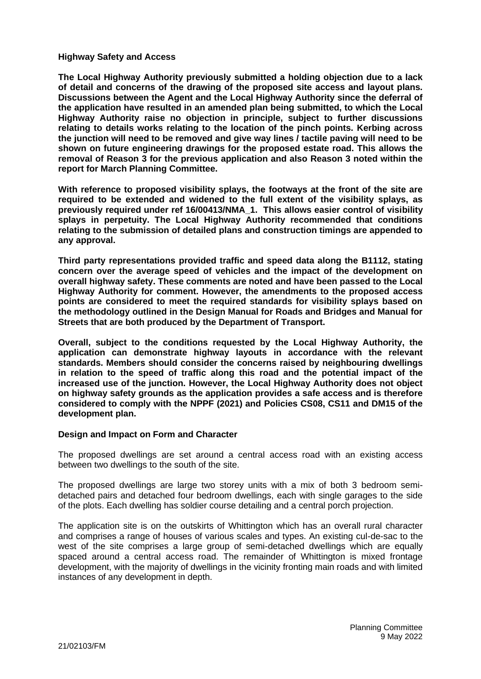### **Highway Safety and Access**

**The Local Highway Authority previously submitted a holding objection due to a lack of detail and concerns of the drawing of the proposed site access and layout plans. Discussions between the Agent and the Local Highway Authority since the deferral of the application have resulted in an amended plan being submitted, to which the Local Highway Authority raise no objection in principle, subject to further discussions relating to details works relating to the location of the pinch points. Kerbing across the junction will need to be removed and give way lines / tactile paving will need to be shown on future engineering drawings for the proposed estate road. This allows the removal of Reason 3 for the previous application and also Reason 3 noted within the report for March Planning Committee.**

**With reference to proposed visibility splays, the footways at the front of the site are required to be extended and widened to the full extent of the visibility splays, as previously required under ref 16/00413/NMA\_1. This allows easier control of visibility splays in perpetuity. The Local Highway Authority recommended that conditions relating to the submission of detailed plans and construction timings are appended to any approval.**

**Third party representations provided traffic and speed data along the B1112, stating concern over the average speed of vehicles and the impact of the development on overall highway safety. These comments are noted and have been passed to the Local Highway Authority for comment. However, the amendments to the proposed access points are considered to meet the required standards for visibility splays based on the methodology outlined in the Design Manual for Roads and Bridges and Manual for Streets that are both produced by the Department of Transport.** 

**Overall, subject to the conditions requested by the Local Highway Authority, the application can demonstrate highway layouts in accordance with the relevant standards. Members should consider the concerns raised by neighbouring dwellings in relation to the speed of traffic along this road and the potential impact of the increased use of the junction. However, the Local Highway Authority does not object on highway safety grounds as the application provides a safe access and is therefore considered to comply with the NPPF (2021) and Policies CS08, CS11 and DM15 of the development plan.** 

#### **Design and Impact on Form and Character**

The proposed dwellings are set around a central access road with an existing access between two dwellings to the south of the site.

The proposed dwellings are large two storey units with a mix of both 3 bedroom semidetached pairs and detached four bedroom dwellings, each with single garages to the side of the plots. Each dwelling has soldier course detailing and a central porch projection.

The application site is on the outskirts of Whittington which has an overall rural character and comprises a range of houses of various scales and types. An existing cul-de-sac to the west of the site comprises a large group of semi-detached dwellings which are equally spaced around a central access road. The remainder of Whittington is mixed frontage development, with the majority of dwellings in the vicinity fronting main roads and with limited instances of any development in depth.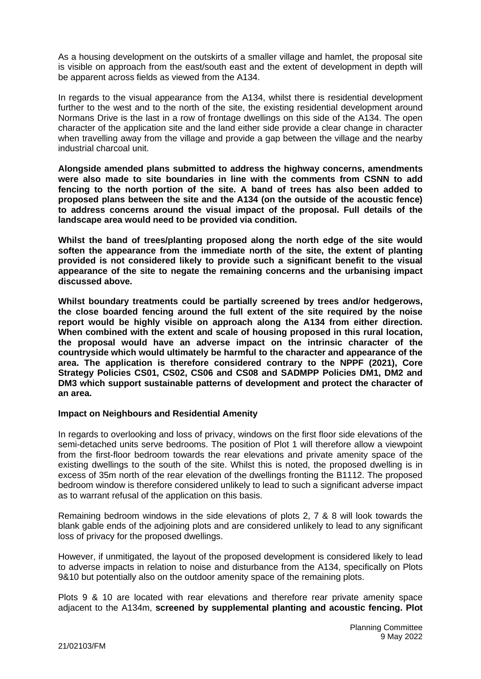As a housing development on the outskirts of a smaller village and hamlet, the proposal site is visible on approach from the east/south east and the extent of development in depth will be apparent across fields as viewed from the A134.

In regards to the visual appearance from the A134, whilst there is residential development further to the west and to the north of the site, the existing residential development around Normans Drive is the last in a row of frontage dwellings on this side of the A134. The open character of the application site and the land either side provide a clear change in character when travelling away from the village and provide a gap between the village and the nearby industrial charcoal unit.

**Alongside amended plans submitted to address the highway concerns, amendments were also made to site boundaries in line with the comments from CSNN to add fencing to the north portion of the site. A band of trees has also been added to proposed plans between the site and the A134 (on the outside of the acoustic fence) to address concerns around the visual impact of the proposal. Full details of the landscape area would need to be provided via condition.**

**Whilst the band of trees/planting proposed along the north edge of the site would soften the appearance from the immediate north of the site, the extent of planting provided is not considered likely to provide such a significant benefit to the visual appearance of the site to negate the remaining concerns and the urbanising impact discussed above.** 

**Whilst boundary treatments could be partially screened by trees and/or hedgerows, the close boarded fencing around the full extent of the site required by the noise report would be highly visible on approach along the A134 from either direction. When combined with the extent and scale of housing proposed in this rural location, the proposal would have an adverse impact on the intrinsic character of the countryside which would ultimately be harmful to the character and appearance of the area. The application is therefore considered contrary to the NPPF (2021), Core Strategy Policies CS01, CS02, CS06 and CS08 and SADMPP Policies DM1, DM2 and DM3 which support sustainable patterns of development and protect the character of an area.**

## **Impact on Neighbours and Residential Amenity**

In regards to overlooking and loss of privacy, windows on the first floor side elevations of the semi-detached units serve bedrooms. The position of Plot 1 will therefore allow a viewpoint from the first-floor bedroom towards the rear elevations and private amenity space of the existing dwellings to the south of the site. Whilst this is noted, the proposed dwelling is in excess of 35m north of the rear elevation of the dwellings fronting the B1112. The proposed bedroom window is therefore considered unlikely to lead to such a significant adverse impact as to warrant refusal of the application on this basis.

Remaining bedroom windows in the side elevations of plots 2, 7 & 8 will look towards the blank gable ends of the adjoining plots and are considered unlikely to lead to any significant loss of privacy for the proposed dwellings.

However, if unmitigated, the layout of the proposed development is considered likely to lead to adverse impacts in relation to noise and disturbance from the A134, specifically on Plots 9&10 but potentially also on the outdoor amenity space of the remaining plots.

Plots 9 & 10 are located with rear elevations and therefore rear private amenity space adjacent to the A134m, **screened by supplemental planting and acoustic fencing. Plot**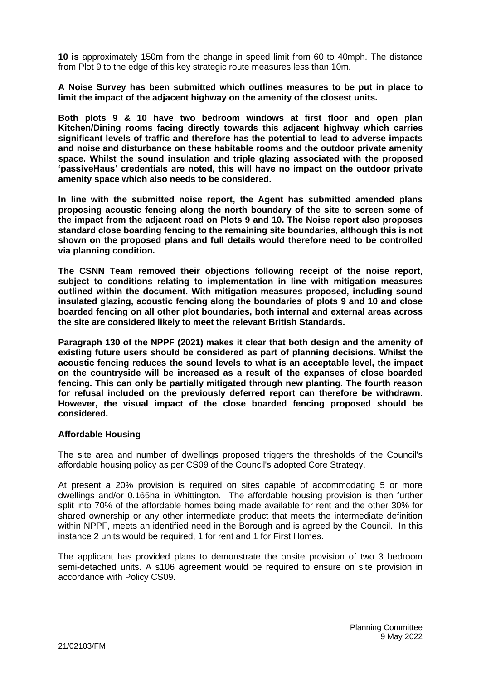**10 is** approximately 150m from the change in speed limit from 60 to 40mph. The distance from Plot 9 to the edge of this key strategic route measures less than 10m.

**A Noise Survey has been submitted which outlines measures to be put in place to limit the impact of the adjacent highway on the amenity of the closest units.**

**Both plots 9 & 10 have two bedroom windows at first floor and open plan Kitchen/Dining rooms facing directly towards this adjacent highway which carries significant levels of traffic and therefore has the potential to lead to adverse impacts and noise and disturbance on these habitable rooms and the outdoor private amenity space. Whilst the sound insulation and triple glazing associated with the proposed 'passiveHaus' credentials are noted, this will have no impact on the outdoor private amenity space which also needs to be considered.**

**In line with the submitted noise report, the Agent has submitted amended plans proposing acoustic fencing along the north boundary of the site to screen some of the impact from the adjacent road on Plots 9 and 10. The Noise report also proposes standard close boarding fencing to the remaining site boundaries, although this is not shown on the proposed plans and full details would therefore need to be controlled via planning condition.**

**The CSNN Team removed their objections following receipt of the noise report, subject to conditions relating to implementation in line with mitigation measures outlined within the document. With mitigation measures proposed, including sound insulated glazing, acoustic fencing along the boundaries of plots 9 and 10 and close boarded fencing on all other plot boundaries, both internal and external areas across the site are considered likely to meet the relevant British Standards.** 

**Paragraph 130 of the NPPF (2021) makes it clear that both design and the amenity of existing future users should be considered as part of planning decisions. Whilst the acoustic fencing reduces the sound levels to what is an acceptable level, the impact on the countryside will be increased as a result of the expanses of close boarded fencing. This can only be partially mitigated through new planting. The fourth reason for refusal included on the previously deferred report can therefore be withdrawn. However, the visual impact of the close boarded fencing proposed should be considered.**

#### **Affordable Housing**

The site area and number of dwellings proposed triggers the thresholds of the Council's affordable housing policy as per CS09 of the Council's adopted Core Strategy.

At present a 20% provision is required on sites capable of accommodating 5 or more dwellings and/or 0.165ha in Whittington. The affordable housing provision is then further split into 70% of the affordable homes being made available for rent and the other 30% for shared ownership or any other intermediate product that meets the intermediate definition within NPPF, meets an identified need in the Borough and is agreed by the Council. In this instance 2 units would be required, 1 for rent and 1 for First Homes.

The applicant has provided plans to demonstrate the onsite provision of two 3 bedroom semi-detached units. A s106 agreement would be required to ensure on site provision in accordance with Policy CS09.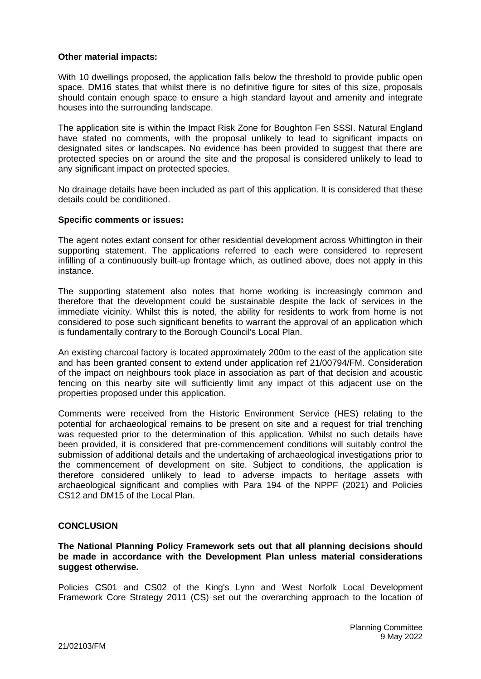### **Other material impacts:**

With 10 dwellings proposed, the application falls below the threshold to provide public open space. DM16 states that whilst there is no definitive figure for sites of this size, proposals should contain enough space to ensure a high standard layout and amenity and integrate houses into the surrounding landscape.

The application site is within the Impact Risk Zone for Boughton Fen SSSI. Natural England have stated no comments, with the proposal unlikely to lead to significant impacts on designated sites or landscapes. No evidence has been provided to suggest that there are protected species on or around the site and the proposal is considered unlikely to lead to any significant impact on protected species.

No drainage details have been included as part of this application. It is considered that these details could be conditioned.

### **Specific comments or issues:**

The agent notes extant consent for other residential development across Whittington in their supporting statement. The applications referred to each were considered to represent infilling of a continuously built-up frontage which, as outlined above, does not apply in this instance.

The supporting statement also notes that home working is increasingly common and therefore that the development could be sustainable despite the lack of services in the immediate vicinity. Whilst this is noted, the ability for residents to work from home is not considered to pose such significant benefits to warrant the approval of an application which is fundamentally contrary to the Borough Council's Local Plan.

An existing charcoal factory is located approximately 200m to the east of the application site and has been granted consent to extend under application ref 21/00794/FM. Consideration of the impact on neighbours took place in association as part of that decision and acoustic fencing on this nearby site will sufficiently limit any impact of this adjacent use on the properties proposed under this application.

Comments were received from the Historic Environment Service (HES) relating to the potential for archaeological remains to be present on site and a request for trial trenching was requested prior to the determination of this application. Whilst no such details have been provided, it is considered that pre-commencement conditions will suitably control the submission of additional details and the undertaking of archaeological investigations prior to the commencement of development on site. Subject to conditions, the application is therefore considered unlikely to lead to adverse impacts to heritage assets with archaeological significant and complies with Para 194 of the NPPF (2021) and Policies CS12 and DM15 of the Local Plan.

## **CONCLUSION**

**The National Planning Policy Framework sets out that all planning decisions should be made in accordance with the Development Plan unless material considerations suggest otherwise.** 

Policies CS01 and CS02 of the King's Lynn and West Norfolk Local Development Framework Core Strategy 2011 (CS) set out the overarching approach to the location of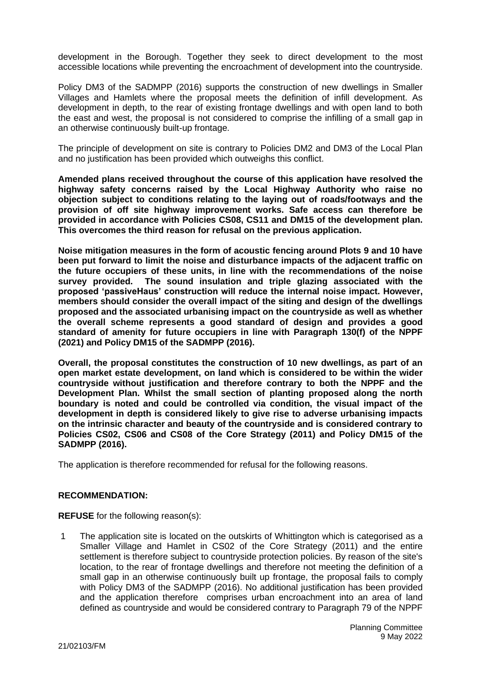development in the Borough. Together they seek to direct development to the most accessible locations while preventing the encroachment of development into the countryside.

Policy DM3 of the SADMPP (2016) supports the construction of new dwellings in Smaller Villages and Hamlets where the proposal meets the definition of infill development. As development in depth, to the rear of existing frontage dwellings and with open land to both the east and west, the proposal is not considered to comprise the infilling of a small gap in an otherwise continuously built-up frontage.

The principle of development on site is contrary to Policies DM2 and DM3 of the Local Plan and no justification has been provided which outweighs this conflict.

**Amended plans received throughout the course of this application have resolved the highway safety concerns raised by the Local Highway Authority who raise no objection subject to conditions relating to the laying out of roads/footways and the provision of off site highway improvement works. Safe access can therefore be provided in accordance with Policies CS08, CS11 and DM15 of the development plan. This overcomes the third reason for refusal on the previous application.**

**Noise mitigation measures in the form of acoustic fencing around Plots 9 and 10 have been put forward to limit the noise and disturbance impacts of the adjacent traffic on the future occupiers of these units, in line with the recommendations of the noise survey provided. The sound insulation and triple glazing associated with the proposed 'passiveHaus' construction will reduce the internal noise impact. However, members should consider the overall impact of the siting and design of the dwellings proposed and the associated urbanising impact on the countryside as well as whether the overall scheme represents a good standard of design and provides a good standard of amenity for future occupiers in line with Paragraph 130(f) of the NPPF (2021) and Policy DM15 of the SADMPP (2016).**

**Overall, the proposal constitutes the construction of 10 new dwellings, as part of an open market estate development, on land which is considered to be within the wider countryside without justification and therefore contrary to both the NPPF and the Development Plan. Whilst the small section of planting proposed along the north boundary is noted and could be controlled via condition, the visual impact of the development in depth is considered likely to give rise to adverse urbanising impacts on the intrinsic character and beauty of the countryside and is considered contrary to Policies CS02, CS06 and CS08 of the Core Strategy (2011) and Policy DM15 of the SADMPP (2016).**

The application is therefore recommended for refusal for the following reasons.

## **RECOMMENDATION:**

**REFUSE** for the following reason(s):

1 The application site is located on the outskirts of Whittington which is categorised as a Smaller Village and Hamlet in CS02 of the Core Strategy (2011) and the entire settlement is therefore subject to countryside protection policies. By reason of the site's location, to the rear of frontage dwellings and therefore not meeting the definition of a small gap in an otherwise continuously built up frontage, the proposal fails to comply with Policy DM3 of the SADMPP (2016). No additional justification has been provided and the application therefore comprises urban encroachment into an area of land defined as countryside and would be considered contrary to Paragraph 79 of the NPPF